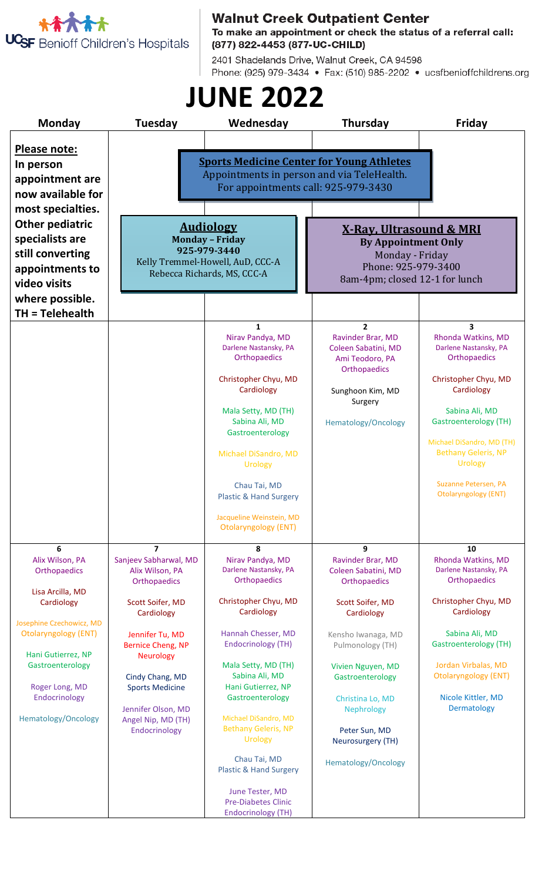

Walnut Creek Outpatient Center<br>To make an appointment or check the status of a referral call: (877) 822-4453 (877-UC-CHILD)

2401 Shadelands Drive, Walnut Creek, CA 94598 Phone: (925) 979-3434 • Fax: (510) 985-2202 • ucsfbenioffchildrens.org

## **JUNE 2022**

| Monday                                                                                                                                                                                                                                | Tuesday                                                                                                                                                                                                                                                                                   | Wednesday                                                                                                                                                                                                                                                                                                                                                                                                                       | Thursday                                                                                                                                                                                                                                                                                 | Friday                                                                                                                                                                                                                                                                                                             |  |
|---------------------------------------------------------------------------------------------------------------------------------------------------------------------------------------------------------------------------------------|-------------------------------------------------------------------------------------------------------------------------------------------------------------------------------------------------------------------------------------------------------------------------------------------|---------------------------------------------------------------------------------------------------------------------------------------------------------------------------------------------------------------------------------------------------------------------------------------------------------------------------------------------------------------------------------------------------------------------------------|------------------------------------------------------------------------------------------------------------------------------------------------------------------------------------------------------------------------------------------------------------------------------------------|--------------------------------------------------------------------------------------------------------------------------------------------------------------------------------------------------------------------------------------------------------------------------------------------------------------------|--|
| <b>Please note:</b><br>In person<br>appointment are<br>now available for<br>most specialties.<br><b>Other pediatric</b><br>specialists are<br>still converting<br>appointments to<br>video visits<br>where possible.                  | <b>Sports Medicine Center for Young Athletes</b><br>Appointments in person and via TeleHealth.<br>For appointments call: 925-979-3430                                                                                                                                                     |                                                                                                                                                                                                                                                                                                                                                                                                                                 |                                                                                                                                                                                                                                                                                          |                                                                                                                                                                                                                                                                                                                    |  |
|                                                                                                                                                                                                                                       | <b>Audiology</b><br><b>Monday - Friday</b><br>925-979-3440<br>Kelly Tremmel-Howell, AuD, CCC-A<br>Rebecca Richards, MS, CCC-A                                                                                                                                                             |                                                                                                                                                                                                                                                                                                                                                                                                                                 | <u>X-Ray, Ultrasound &amp; MRI</u><br><b>By Appointment Only</b><br>Monday - Friday<br>Phone: 925-979-3400<br>8am-4pm; closed 12-1 for lunch                                                                                                                                             |                                                                                                                                                                                                                                                                                                                    |  |
| $TH = Telehealth$                                                                                                                                                                                                                     |                                                                                                                                                                                                                                                                                           | $\mathbf{1}$<br>Nirav Pandya, MD<br>Darlene Nastansky, PA<br>Orthopaedics<br>Christopher Chyu, MD<br>Cardiology<br>Mala Setty, MD (TH)<br>Sabina Ali, MD<br>Gastroenterology<br>Michael DiSandro, MD<br><b>Urology</b><br>Chau Tai, MD<br><b>Plastic &amp; Hand Surgery</b><br>Jacqueline Weinstein, MD<br><b>Otolaryngology (ENT)</b>                                                                                          | $\overline{2}$<br>Ravinder Brar, MD<br>Coleen Sabatini, MD<br>Ami Teodoro, PA<br>Orthopaedics<br>Sunghoon Kim, MD<br>Surgery<br>Hematology/Oncology                                                                                                                                      | $\overline{\mathbf{3}}$<br>Rhonda Watkins, MD<br>Darlene Nastansky, PA<br>Orthopaedics<br>Christopher Chyu, MD<br>Cardiology<br>Sabina Ali, MD<br><b>Gastroenterology (TH)</b><br>Michael DiSandro, MD (TH)<br><b>Bethany Geleris, NP</b><br><b>Urology</b><br>Suzanne Petersen, PA<br><b>Otolaryngology (ENT)</b> |  |
| 6<br>Alix Wilson, PA<br>Orthopaedics<br>Lisa Arcilla, MD<br>Cardiology<br>Josephine Czechowicz, MD<br><b>Otolaryngology (ENT)</b><br>Hani Gutierrez, NP<br>Gastroenterology<br>Roger Long, MD<br>Endocrinology<br>Hematology/Oncology | $\overline{z}$<br>Sanjeev Sabharwal, MD<br>Alix Wilson, PA<br>Orthopaedics<br>Scott Soifer, MD<br>Cardiology<br>Jennifer Tu, MD<br><b>Bernice Cheng, NP</b><br><b>Neurology</b><br>Cindy Chang, MD<br><b>Sports Medicine</b><br>Jennifer Olson, MD<br>Angel Nip, MD (TH)<br>Endocrinology | 8<br>Nirav Pandya, MD<br>Darlene Nastansky, PA<br><b>Orthopaedics</b><br>Christopher Chyu, MD<br>Cardiology<br>Hannah Chesser, MD<br><b>Endocrinology (TH)</b><br>Mala Setty, MD (TH)<br>Sabina Ali, MD<br>Hani Gutierrez, NP<br>Gastroenterology<br>Michael DiSandro, MD<br><b>Bethany Geleris, NP</b><br><b>Urology</b><br>Chau Tai, MD<br><b>Plastic &amp; Hand Surgery</b><br>June Tester, MD<br><b>Pre-Diabetes Clinic</b> | 9<br>Ravinder Brar, MD<br>Coleen Sabatini, MD<br><b>Orthopaedics</b><br>Scott Soifer, MD<br>Cardiology<br>Kensho Iwanaga, MD<br>Pulmonology (TH)<br>Vivien Nguyen, MD<br>Gastroenterology<br>Christina Lo, MD<br>Nephrology<br>Peter Sun, MD<br>Neurosurgery (TH)<br>Hematology/Oncology | 10<br>Rhonda Watkins, MD<br>Darlene Nastansky, PA<br>Orthopaedics<br>Christopher Chyu, MD<br>Cardiology<br>Sabina Ali, MD<br><b>Gastroenterology (TH)</b><br>Jordan Virbalas, MD<br><b>Otolaryngology (ENT)</b><br>Nicole Kittler, MD<br>Dermatology                                                               |  |